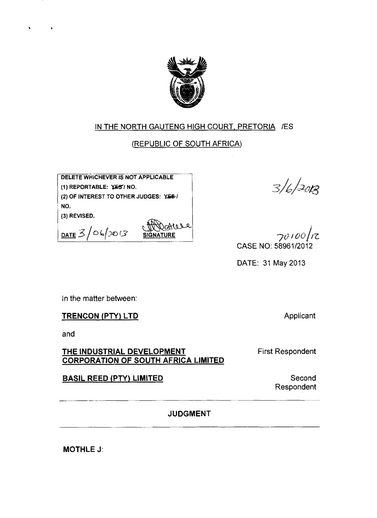

# IN THE NORTH GAUTENG HIGH COURT, PRETORIA /ES

## (REPUBLIC OF SOUTH AFRICA)

**DELETE WHICHEVER IS NOT APPLICABLE (1) REPORTABLE: ¥£S7 NO. (2) OF INTEREST TO OTHER JUDGES: Yfi©•/ NO.**

**(3) REVISED.**

**DATE** 3/06/2013 **SIGNATURE** 

 $3/6/20B$ 

 $70100/7$ CASE NO: 58961/2012

DATE: 31 May 2013

In the matter between:

### **TRENCON (PTY) LTD**

and

### **THE INDUSTRIAL DEVELOPMENT CORPORATION OF SOUTH AFRICA LIMITED**

First Respondent

## **BASIL REED (PTY) LIMITED**

Second Respondent

**Applicant** 

**JUDGMENT**

**MOTHLE J:**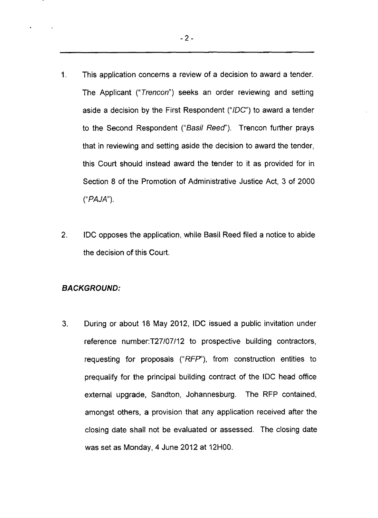- 1. This application concerns a review of a decision to award a tender. The Applicant ("*Trencon*") seeks an order reviewing and setting aside a decision by the First Respondent ("/DC") to award a tender to the Second Respondent *("Basil Reed")*. Trencon further prays that in reviewing and setting aside the decision to award the tender, this Court should instead award the tender to it as provided for in Section 8 of the Promotion of Administrative Justice Act, 3 of 2000 ("*PAJA*").
- 2. IDC opposes the application, while Basil Reed filed a notice to abide the decision of this Court.

#### *BACKGROUND:*

3. During or about 18 May 2012, IDC issued a public invitation under reference number:T27/07/12 to prospective building contractors, requesting for proposals ("RFP"), from construction entities to prequalify for the principal building contract of the IDC head office external upgrade, Sandton, Johannesburg. The RFP contained, amongst others, a provision that any application received after the closing date shall not be evaluated or assessed. The closing date was set as Monday, 4 June 2012 at 12H00.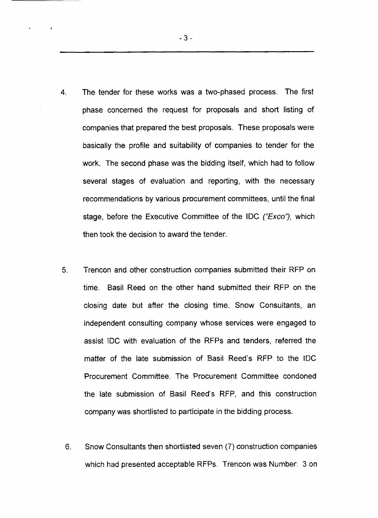- 4. The tender for these works was a two-phased process. The first phase concerned the request for proposals and short listing of companies that prepared the best proposals. These proposals were basically the profile and suitability of companies to tender for the work. The second phase was the bidding itself, which had to follow several stages of evaluation and reporting, with the necessary recommendations by various procurement committees, until the final stage, before the Executive Committee of the IDC *("Exco"),* which then took the decision to award the tender.
- 5. Trencon and other construction companies submitted their RFP on time. Basil Reed on the other hand submitted their RFP on the closing date but after the closing time. Snow Consultants, an independent consulting company whose services were engaged to assist IDC with evaluation of the RFPs and tenders, referred the matter of the late submission of Basil Reed's RFP to the IDC Procurement Committee. The Procurement Committee condoned the late submission of Basil Reed's RFP, and this construction company was shortlisted to participate in the bidding process.
- 6. Snow Consultants then shortlisted seven (7) construction companies which had presented acceptable RFPs. Trencon was Number: 3 on

*%*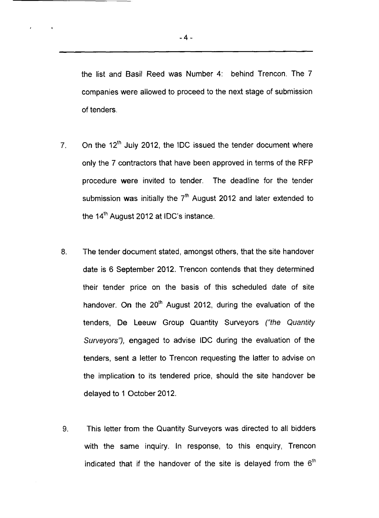the list and Basil Reed was Number 4: behind Trencon. The 7 companies were allowed to proceed to the next stage of submission of tenders.

- 7. On the  $12<sup>th</sup>$  July 2012, the IDC issued the tender document where only the 7 contractors that have been approved in terms of the RFP procedure were invited to tender. The deadline for the tender submission was initially the  $7<sup>th</sup>$  August 2012 and later extended to the 14<sup>th</sup> August 2012 at IDC's instance.
- 8. The tender document stated, amongst others, that the site handover date is 6 September 2012. Trencon contends that they determined their tender price on the basis of this scheduled date of site handover. On the  $20<sup>th</sup>$  August 2012, during the evaluation of the tenders, De Leeuw Group Quantity Surveyors *("the Quantity Surveyors"),* engaged to advise IDC during the evaluation of the tenders, sent a letter to Trencon requesting the latter to advise on the implication to its tendered price, should the site handover be delayed to 1 October 2012.
- 9. This letter from the Quantity Surveyors was directed to all bidders with the same inquiry. In response, to this enquiry, Trencon indicated that if the handover of the site is delayed from the  $6<sup>th</sup>$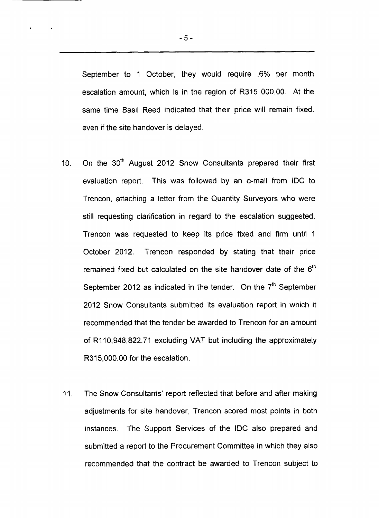September to 1 October, they would require .6% per month escalation amount, which is in the region of R315 000.00. At the same time Basil Reed indicated that their price will remain fixed, even if the site handover is delayed.

- 10. On the 30<sup>th</sup> August 2012 Snow Consultants prepared their first evaluation report. This was followed by an e-mail from IDC to Trencon, attaching a letter from the Quantity Surveyors who were still requesting clarification in regard to the escalation suggested. Trencon was requested to keep its price fixed and firm until 1 October 2012. Trencon responded by stating that their price remained fixed but calculated on the site handover date of the  $6<sup>th</sup>$ September 2012 as indicated in the tender. On the  $7<sup>th</sup>$  September 2012 Snow Consultants submitted its evaluation report in which it recommended that the tender be awarded to Trencon for an amount of R110,948,822.71 excluding VAT but including the approximately R315,000.00 for the escalation.
- 11. The Snow Consultants' report reflected that before and after making adjustments for site handover, Trencon scored most points in both instances. The Support Services of the IDC also prepared and submitted a report to the Procurement Committee in which they also recommended that the contract be awarded to Trencon subject to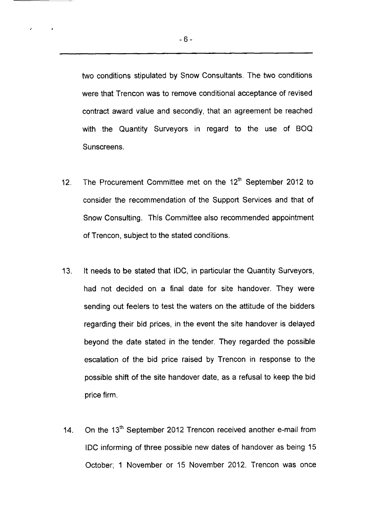two conditions stipulated by Snow Consultants. The two conditions were that Trencon was to remove conditional acceptance of revised contract award value and secondly, that an agreement be reached with the Quantity Surveyors in regard to the use of BOQ Sunscreens.

- 12. The Procurement Committee met on the 12<sup>th</sup> September 2012 to consider the recommendation of the Support Services and that of Snow Consulting. This Committee also recommended appointment of Trencon, subject to the stated conditions.
- 13. It needs to be stated that IDC, in particular the Quantity Surveyors, had not decided on a final date for site handover. They were sending out feelers to test the waters on the attitude of the bidders regarding their bid prices, in the event the site handover is delayed beyond the date stated in the tender. They regarded the possible escalation of the bid price raised by Trencon in response to the possible shift of the site handover date, as a refusal to keep the bid price firm.
- 14. On the 13<sup>th</sup> September 2012 Trencon received another e-mail from IDC informing of three possible new dates of handover as being 15 October; 1 November or 15 November 2012. Trencon was once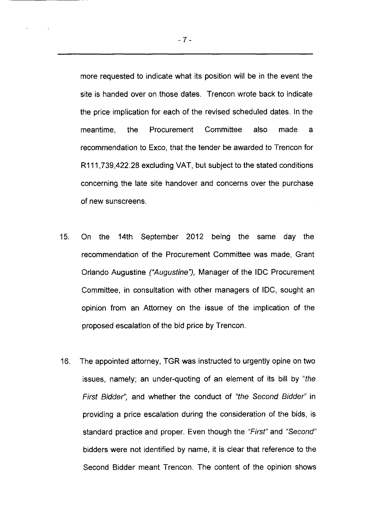more requested to indicate what its position will be in the event the site is handed over on those dates. Trencon wrote back to indicate the price implication for each of the revised scheduled dates. In the meantime, the Procurement Committee also made a recommendation to Exco, that the tender be awarded to Trencon for R111,739,422.28 excluding VAT, but subject to the stated conditions concerning the late site handover and concerns over the purchase of new sunscreens.

- 15. On the 14th September 2012 being the same day the recommendation of the Procurement Committee was made, Grant Orlando Augustine *("Augustine"),* Manager of the IDC Procurement Committee, in consultation with other managers of IDC, sought an opinion from an Attorney on the issue of the implication of the proposed escalation of the bid price by Trencon.
- 16. The appointed attorney, TGR was instructed to urgently opine on two issues, namely; an under-quoting of an element of its bill by *"the First Bidder",* and whether the conduct of *"the Second Bidder"* in providing a price escalation during the consideration of the bids, is standard practice and proper. Even though the *"First"* and *"Second"* bidders were not identified by name, it is clear that reference to the Second Bidder meant Trencon. The content of the opinion shows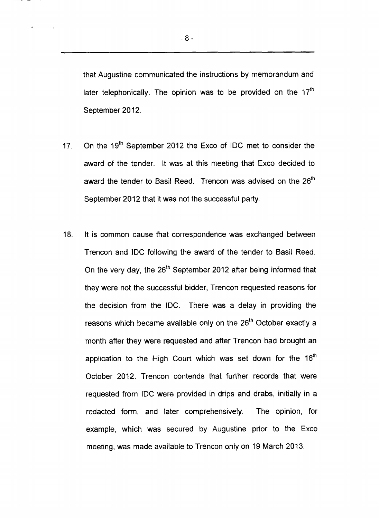that Augustine communicated the instructions by memorandum and later telephonically. The opinion was to be provided on the  $17<sup>th</sup>$ September 2012.

- 17. On the 19<sup>th</sup> September 2012 the Exco of IDC met to consider the award of the tender. It was at this meeting that Exco decided to award the tender to Basil Reed. Trencon was advised on the 26<sup>th</sup> September 2012 that it was not the successful party.
- 18. It is common cause that correspondence was exchanged between Trencon and IDC following the award of the tender to Basil Reed. On the very day, the 26<sup>th</sup> September 2012 after being informed that they were not the successful bidder, Trencon requested reasons for the decision from the IDC. There was a delay in providing the reasons which became available only on the 26<sup>th</sup> October exactly a month after they were requested and after Trencon had brought an application to the High Court which was set down for the  $16<sup>th</sup>$ October 2012. Trencon contends that further records that were requested from IDC were provided in drips and drabs, initially in a redacted form, and later comprehensively. The opinion, for example, which was secured by Augustine prior to the Exco meeting, was made available to Trencon only on 19 March 2013.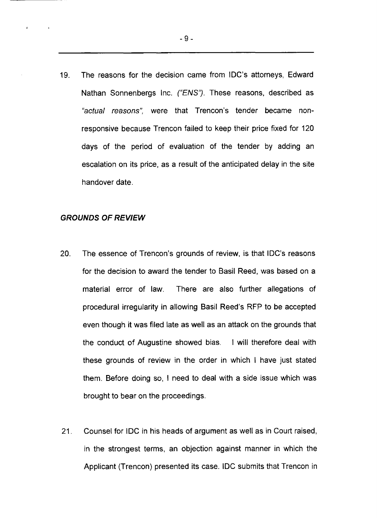19. The reasons for the decision came from IDC's attorneys, Edward Nathan Sonnenbergs Inc. *("ENS").* These reasons, described as *"actual reasons",* were that Trencon's tender became nonresponsive because Trencon failed to keep their price fixed for 120 days of the period of evaluation of the tender by adding an escalation on its price, as a result of the anticipated delay in the site handover date.

### *GROUNDS OF REVIEW*

- 20. The essence of Trencon's grounds of review, is that IDC's reasons for the decision to award the tender to Basil Reed, was based on a material error of law. There are also further allegations of procedural irregularity in allowing Basil Reed's RFP to be accepted even though it was filed late as well as an attack on the grounds that the conduct of Augustine showed bias. I will therefore deal with these grounds of review in the order in which I have just stated them. Before doing so, I need to deal with a side issue which was brought to bear on the proceedings.
- 21. Counsel for IDC in his heads of argument as well as in Court raised, in the strongest terms, an objection against manner in which the Applicant (Trencon) presented its case. IDC submits that Trencon in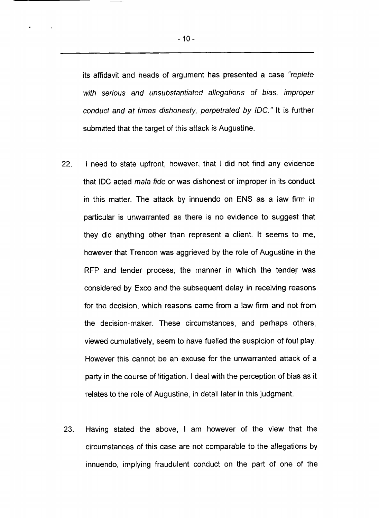its affidavit and heads of argument has presented a case "*replete with serious and unsubstantiated allegations of bias, improper conduct and at times dishonesty, perpetrated by IDC.*" It is further submitted that the target of this attack is Augustine.

- 22. I need to state upfront, however, that I did not find any evidence that IDC acted *mala fide* or was dishonest or improper in its conduct in this matter. The attack by innuendo on ENS as a law firm in particular is unwarranted as there is no evidence to suggest that they did anything other than represent a client. It seems to me, however that Trencon was aggrieved by the role of Augustine in the RFP and tender process; the manner in which the tender was considered by Exco and the subsequent delay in receiving reasons for the decision, which reasons came from a law firm and not from the decision-maker. These circumstances, and perhaps others, viewed cumulatively, seem to have fuelled the suspicion of foul play. However this cannot be an excuse for the unwarranted attack of a party in the course of litigation. I deal with the perception of bias as it relates to the role of Augustine, in detail later in this judgment.
- 23. Having stated the above, I am however of the view that the circumstances of this case are not comparable to the allegations by innuendo, implying fraudulent conduct on the part of one of the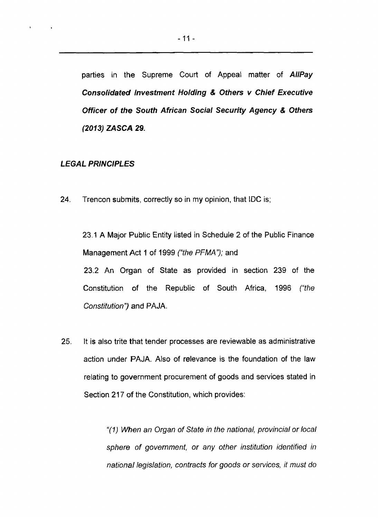parties in the Supreme Court of Appeal matter of *AHPay Consolidated Investment Holding & Others v Chief Executive Officer of the South African Social Security Agency & Others (2013) ZASCA* **29.**

### *LEGAL PRINCIPLES*

24. Trencon submits, correctly so in my opinion, that IDC is;

23.1 A Major Public Entity listed in Schedule 2 of the Public Finance Management Act 1 of 1999 *("the PFMA");* and 23.2 An Organ of State as provided in section 239 of the Constitution of the Republic of South Africa, 1996 *("the Constitution")* and PAJA.

25. It is also trite that tender processes are reviewable as administrative action under PAJA. Also of relevance is the foundation of the law relating to government procurement of goods and services stated in Section 217 of the Constitution, which provides:

> *"(1) When an Organ of State in the national*, *provincial or local sphere of government, or any other institution identified in national legislation, contracts for goods or services*, *it must do*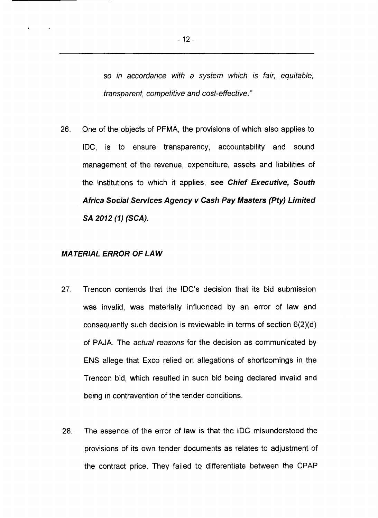*so in accordance with a system which is fair, equitable, transparent, competitive and cost-effective. "*

26. One of the objects of PFMA, the provisions of which also applies to IDC, is to ensure transparency, accountability and sound management of the revenue, expenditure, assets and liabilities of the institutions to which it applies, see *Chief Executive***,** *South Africa Sociai Services Agency v Cash Pay Masters (Pty) Limited SA 2012 (1) (SCA).*

### *MATERIAL ERROR OF LAW*

- 27. Trencon contends that the IDC's decision that its bid submission was invalid, was materially influenced by an error of law and consequently such decision is reviewable in terms of section 6(2)(d) of PAJA. The *actual reasons* for the decision as communicated by ENS allege that Exco relied on allegations of shortcomings in the Trencon bid, which resulted in such bid being declared invalid and being in contravention of the tender conditions.
- 28. The essence of the error of law is that the IDC misunderstood the provisions of its own tender documents as relates to adjustment of the contract price. They failed to differentiate between the CPAP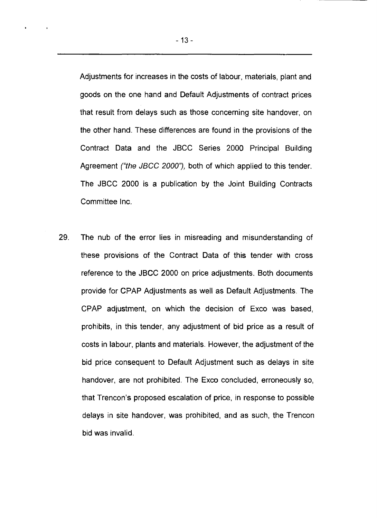Adjustments for increases in the costs of labour, materials, plant and goods on the one hand and Default Adjustments of contract prices that result from delays such as those concerning site handover, on the other hand. These differences are found in the provisions of the Contract Data and the JBCC Series 2000 Principal Building Agreement *("the JBCC 2000"),* both of which applied to this tender. The JBCC 2000 is a publication by the Joint Building Contracts Committee Inc.

29. The nub of the error lies in misreading and misunderstanding of these provisions of the Contract Data of this tender with cross reference to the JBCC 2000 on price adjustments. Both documents provide for CPAP Adjustments as well as Default Adjustments. The CPAP adjustment, on which the decision of Exco was based, prohibits, in this tender, any adjustment of bid price as a result of costs in labour, plants and materials. However, the adjustment of the bid price consequent to Default Adjustment such as delays in site handover, are not prohibited. The Exco concluded, erroneously so, that Trencon's proposed escalation of price, in response to possible delays in site handover, was prohibited, and as such, the Trencon bid was invalid.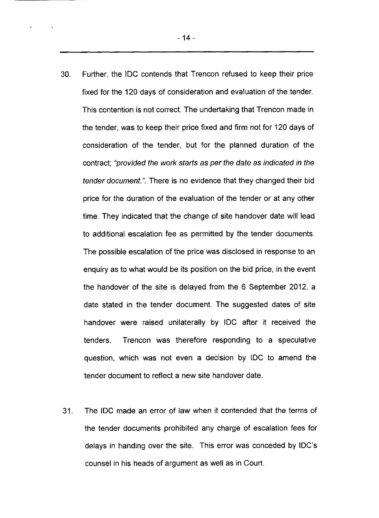30. Further, the IDC contends that Trencon refused to keep their price fixed for the 120 days of consideration and evaluation of the tender. This contention is not correct. The undertaking that Trencon made in the tender, was to keep their price fixed and firm not for 120 days of consideration of the tender, but for the planned duration of the contract; *"provided the work starts as per the date as indicated in the tender document.".* There is no evidence that they changed their bid price for the duration of the evaluation of the tender or at any other time. They indicated that the change of site handover date will lead to additional escalation fee as permitted by the tender documents. The possible escalation of the price was disclosed in response to an enquiry as to what would be its position on the bid price, in the event the handover of the site is delayed from the 6 September 2012, a date stated in the tender document. The suggested dates of site handover were raised unilaterally by IDC after it received the tenders. Trencon was therefore responding to a speculative question, which was not even a decision by IDC to amend the

31. The IDC made an error of law when it contended that the terms of the tender documents prohibited any charge of escalation fees for delays in handing over the site. This error was conceded by IDC's counsel in his heads of argument as well as in Court.

tender document to reflect a new site handover date.

 $\sim$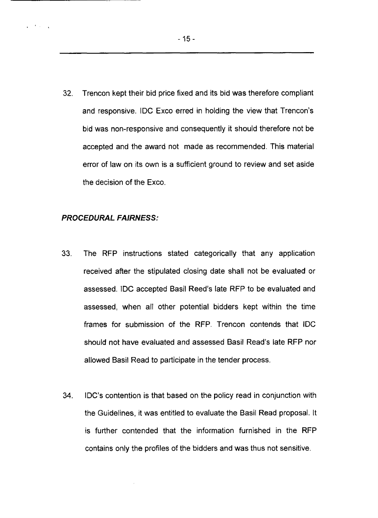32. Trencon kept their bid price fixed and its bid was therefore compliant and responsive. IDC Exco erred in holding the view that Trencon's bid was non-responsive and consequently it should therefore not be accepted and the award not made as recommended. This material error of law on its own is a sufficient ground to review and set aside the decision of the Exco.

#### *PROCEDURAL FAIRNESS:*

 $\mathcal{L} = \mathcal{L} \times \mathcal{L}$ 

- 33. The RFP instructions stated categorically that any application received after the stipulated closing date shall not be evaluated or assessed. IDC accepted Basil Reed's late RFP to be evaluated and assessed, when all other potential bidders kept within the time frames for submission of the RFP. Trencon contends that IDC should not have evaluated and assessed Basil Read's late RFP nor allowed Basil Read to participate in the tender process.
- 34. IDC's contention is that based on the policy read in conjunction with the Guidelines, it was entitled to evaluate the Basil Read proposal. It is further contended that the information furnished in the RFP contains only the profiles of the bidders and was thus not sensitive.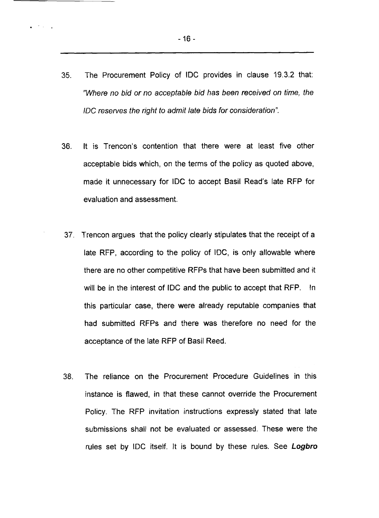- 35. The Procurement Policy of IDC provides in clause 19.3.2 that: *''Where no bid or no acceptable bid has been received on time, the IDC reserves the right to admit late bids for consideration".*
- 36. It is Trencon's contention that there were at least five other acceptable bids which, on the terms of the policy as quoted above, made it unnecessary for IDC to accept Basil Read's late RFP for evaluation and assessment.
- 37. Trencon argues that the policy clearly stipulates that the receipt of a late RFP, according to the policy of IDC, is only allowable where there are no other competitive RFPs that have been submitted and it will be in the interest of IDC and the public to accept that RFP. In this particular case, there were already reputable companies that had submitted RFPs and there was therefore no need for the acceptance of the late RFP of Basil Reed.
- 38. The reliance on the Procurement Procedure Guidelines in this instance is flawed, in that these cannot override the Procurement Policy. The RFP invitation instructions expressly stated that late submissions shall not be evaluated or assessed. These were the rules set by IDC itself. It is bound by these rules. See *Logbro*

 $\mathbf{z} = \mathbf{z} \times \mathbf{z}$  .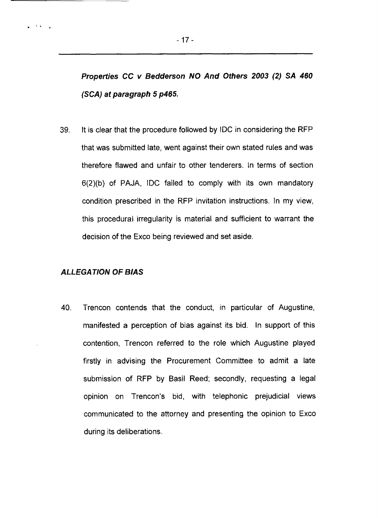*Properties CC v Bedderson NO And Others 2003 (2) SA 460 (SCA) at paragraph 5 p465.*

39. It is clear that the procedure followed by IDC in considering the RFP that was submitted late, went against their own stated rules and was therefore flawed and unfair to other tenderers. In terms of section 6(2)(b) of PAJA, IDC failed to comply with its own mandatory condition prescribed in the RFP invitation instructions. In my view, this procedural irregularity is material and sufficient to warrant the decision of the Exco being reviewed and set aside.

### *ALLEGATION OF BIAS*

 $\sim 0.4\,$  km  $^{-1}$ 

40. Trencon contends that the conduct, in particular of Augustine, manifested a perception of bias against its bid. In support of this contention, Trencon referred to the role which Augustine played firstly in advising the Procurement Committee to admit a late submission of RFP by Basil Reed; secondly, requesting a legal opinion on Trencon's bid, with telephonic prejudicial views communicated to the attorney and presenting the opinion to Exco during its deliberations.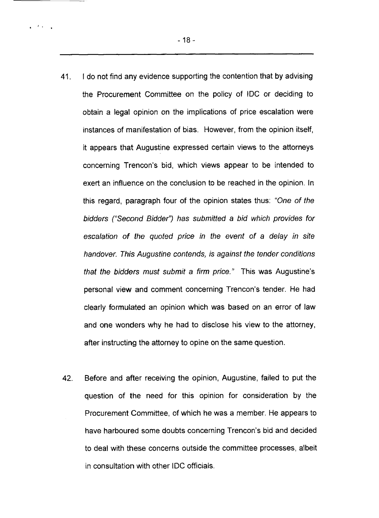- 18-

 $\mathbf{r} = \mathbf{r} \cdot \mathbf{r}$  .

- 41. I do not find any evidence supporting the contention that by advising the Procurement Committee on the policy of IDC or deciding to obtain a legal opinion on the implications of price escalation were instances of manifestation of bias. However, from the opinion itself, it appears that Augustine expressed certain views to the attorneys concerning Trencon's bid, which views appear to be intended to exert an influence on the conclusion to be reached in the opinion. In this regard, paragraph four of the opinion states thus: "*One of the* bidders ("Second Bidder") has submitted a bid which provides for *escalation of the quoted price in the event of a delay in site handover. This Augustine contends, is against the tender conditions that the bidders must submit a firm price."* This was Augustine's personal view and comment concerning Trencon's tender. He had clearly formulated an opinion which was based on an error of law and one wonders why he had to disclose his view to the attorney, after instructing the attorney to opine on the same question.
- 42. Before and after receiving the opinion, Augustine, failed to put the question of the need for this opinion for consideration by the Procurement Committee, of which he was a member. He appears to have harboured some doubts concerning Trencon's bid and decided to deal with these concerns outside the committee processes, albeit in consultation with other IDC officials.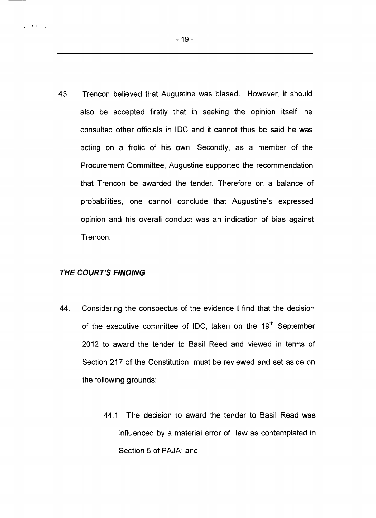43. Trencon believed that Augustine was biased. However, it should also be accepted firstly that in seeking the opinion itself, he consulted other officials in IDC and it cannot thus be said he was acting on a frolic of his own. Secondly, as a member of the Procurement Committee, Augustine supported the recommendation that Trencon be awarded the tender. Therefore on a balance of probabilities, one cannot conclude that Augustine's expressed opinion and his overall conduct was an indication of bias against Trencon.

### *THE COURT'S FINDING*

 $\frac{1}{2}$  . If  $\frac{1}{2}$  ,  $\frac{1}{2}$ 

- 44. Considering the conspectus of the evidence I find that the decision of the executive committee of IDC, taken on the 19<sup>th</sup> September 2012 to award the tender to Basil Reed and viewed in terms of Section 217 of the Constitution, must be reviewed and set aside on the following grounds:
	- 44.1 The decision to award the tender to Basil Read was influenced by a material error of law as contemplated in Section 6 of PAJA; and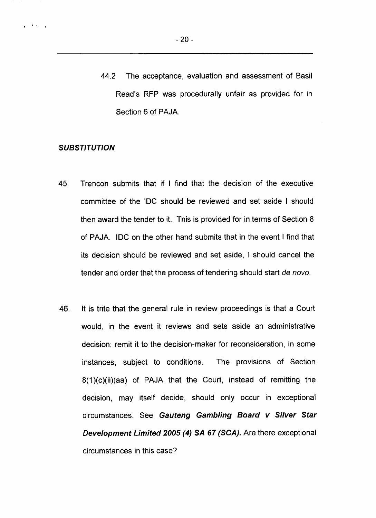44.2 The acceptance, evaluation and assessment of Basil Read's RFP was procedurally unfair as provided for in Section 6 of PAJA.

### *SUBSTITUTION*

 $\mathbf{r} = \mathbf{r} \times \mathbf{r}$  .

- 45. Trencon submits that if I find that the decision of the executive committee of the IDC should be reviewed and set aside I should then award the tender to it. This is provided for in terms of Section 8 of PAJA. IDC on the other hand submits that in the event I find that its decision should be reviewed and set aside, 1 should cancel the tender and order that the process of tendering should start *de novo.*
- 46. It is trite that the general rule in review proceedings is that a Court would, in the event it reviews and sets aside an administrative decision; remit it to the decision-maker for reconsideration, in some instances, subject to conditions. The provisions of Section 8(1)(c)(ii)(aa) of PAJA that the Court, instead of remitting the decision, may itself decide, should only occur in exceptional circumstances. See *Gauteng Gambling Board v Silver Star Development Limited 2005 (4) SA 67 (SCA).* Are there exceptional circumstances in this case?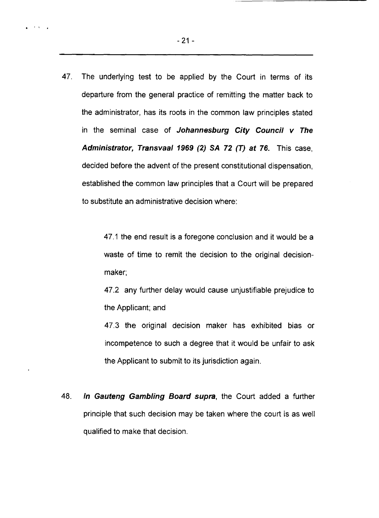47. The underlying test to be applied by the Court in terms of its departure from the general practice of remitting the matter back to the administrator, has its roots in the common law principles stated in the seminal case of *Johannesburg City Council v The Administrator, Transvaai 1969 (2) SA 72 (T) at 76.* This case, decided before the advent of the present constitutional dispensation, established the common law principles that a Court will be prepared to substitute an administrative decision where:

> 47.1 the end result is a foregone conclusion and it would be a waste of time to remit the decision to the original decisionmaker;

> 47.2 any further delay would cause unjustifiable prejudice to the Applicant; and

> 47.3 the original decision maker has exhibited bias or incompetence to such a degree that it would be unfair to ask the Applicant to submit to its jurisdiction again.

48. *In Gauteng Gambling Board supra,* the Court added a further principle that such decision may be taken where the court is as well qualified to make that decision.

 $\mathcal{F}(\mathcal{A})\subset \mathcal{A}$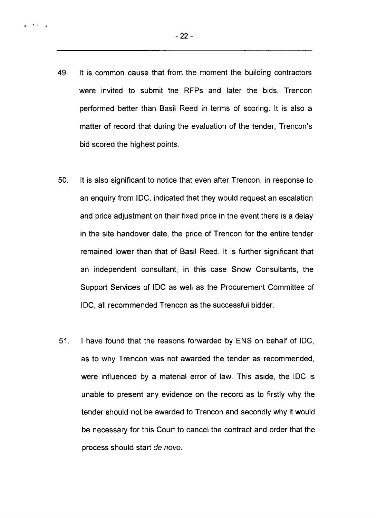49. It is common cause that from the moment the building contractors were invited to submit the RFPs and later the bids, Trencon performed better than Basil Reed in terms of scoring. It is also a matter of record that during the evaluation of the tender, Trencon's bid scored the highest points.

- 50. It is also significant to notice that even after Trencon, in response to an enquiry from IDC, indicated that they would request an escalation and price adjustment on their fixed price in the event there is a delay in the site handover date, the price of Trencon for the entire tender remained lower than that of Basil Reed. It is further significant that an independent consultant, in this case Snow Consultants, the Support Services of IDC as well as the Procurement Committee of IDC, all recommended Trencon as the successful bidder.
- 51. I have found that the reasons forwarded by ENS on behalf of IDC, as to why Trencon was not awarded the tender as recommended, were influenced by a material error of law. This aside, the IDC is unable to present any evidence on the record as to firstly why the tender should not be awarded to Trencon and secondly why it would be necessary for this Court to cancel the contract and order that the process should start *de novo.*

 $2.7533$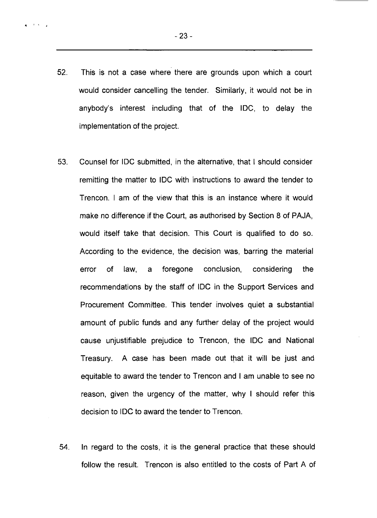$4^{-(1-\lambda)/\alpha}$ 

- 52. This is not a case where there are grounds upon which a court would consider cancelling the tender. Similarly, it would not be in anybody's interest including that of the IDC, to delay the implementation of the project.
- 53. Counsel for IDC submitted, in the alternative, that I should consider remitting the matter to IDC with instructions to award the tender to Trencon. I am of the view that this is an instance where it would make no difference if the Court, as authorised by Section 8 of PAJA, would itself take that decision. This Court is qualified to do so. According to the evidence, the decision was, barring the material error of law, a foregone conclusion, considering the recommendations by the staff of IDC in the Support Services and Procurement Committee. This tender involves quiet a substantial amount of public funds and any further delay of the project would cause unjustifiable prejudice to Trencon, the IDC and National Treasury. A case has been made out that it will be just and equitable to award the tender to Trencon and I am unable to see no reason, given the urgency of the matter, why I should refer this decision to IDC to award the tender to Trencon.
- 54. In regard to the costs, it is the general practice that these should follow the result. Trencon is also entitled to the costs of Part A of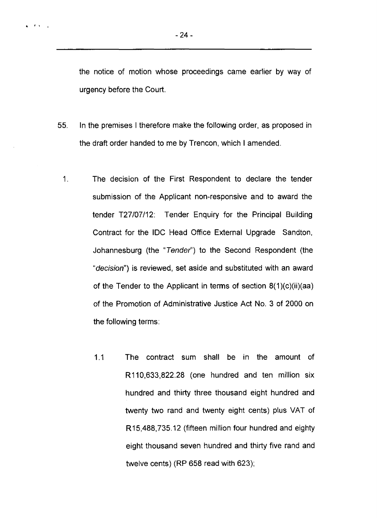$\mathbf{a} = \mathbf{A} \cdot \mathbf{A} = \mathbf{A}$ 

the notice of motion whose proceedings came earlier by way of urgency before the Court.

- 55. In the premises I therefore make the following order, as proposed in the draft order handed to me by Trencon, which I amended.
	- 1. The decision of the First Respondent to declare the tender submission of the Applicant non-responsive and to award the tender T27/07/12: Tender Enquiry for the Principal Building Contract for the IDC Head Office External Upgrade Sandton, Johannesburg (the *"Tender"')* to the Second Respondent (the *"decision")* is reviewed, set aside and substituted with an award of the Tender to the Applicant in terms of section 8(1)(c)(ii)(aa) of the Promotion of Administrative Justice Act No. 3 of 2000 on the following terms:
		- 1.1 The contract sum shall be in the amount of R110,633,822.28 (one hundred and ten million six hundred and thirty three thousand eight hundred and twenty two rand and twenty eight cents) plus VAT of R15,488,735.12 (fifteen million four hundred and eighty eight thousand seven hundred and thirty five rand and twelve cents) (RP 658 read with 623);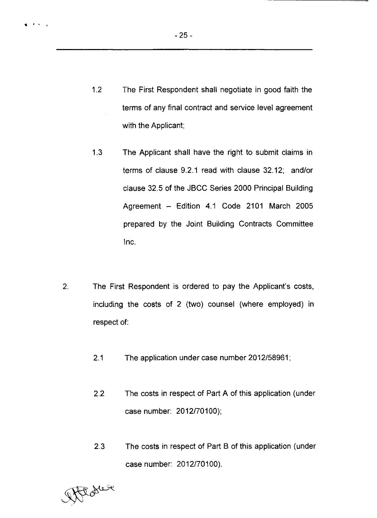- 1.2 The First Respondent shall negotiate in good faith the terms of any final contract and service level agreement with the Applicant;
- 1.3 The Applicant shall have the right to submit claims in terms of clause 9.2.1 read with clause 32.12; and/or clause 32.5 of the JBCC Series 2000 Principal Building Agreement - Edition 4.1 Code 2101 March 2005 prepared by the Joint Building Contracts Committee Inc.
- $2.$ The First Respondent is ordered to pay the Applicant's costs, including the costs of 2 (two) counsel (where employed) in respect of:
	- 2.1 The application under case number 2012/58961;
	- 2.2 The costs in respect of Part A of this application (under case number: 2012/70100);
	- 2.3 The costs in respect of Part B of this application (under case number: 2012/70100).

Att de se

 $\mathcal{A}=\mathcal{A}=\mathcal{A}$